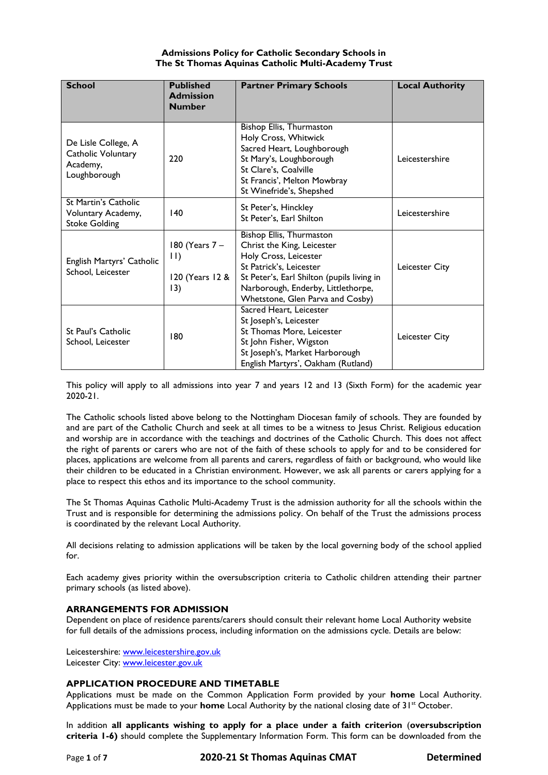# **Admissions Policy for Catholic Secondary Schools in The St Thomas Aquinas Catholic Multi-Academy Trust**

| <b>School</b>                                                             | <b>Published</b><br><b>Admission</b><br><b>Number</b>     | <b>Partner Primary Schools</b>                                                                                                                                                                                                            | <b>Local Authority</b> |
|---------------------------------------------------------------------------|-----------------------------------------------------------|-------------------------------------------------------------------------------------------------------------------------------------------------------------------------------------------------------------------------------------------|------------------------|
| De Lisle College, A<br>Catholic Voluntary<br>Academy,<br>Loughborough     | 220                                                       | Bishop Ellis, Thurmaston<br>Holy Cross, Whitwick<br>Sacred Heart, Loughborough<br>St Mary's, Loughborough<br>St Clare's, Coalville<br>St Francis', Melton Mowbray<br>St Winefride's, Shepshed                                             | Leicestershire         |
| <b>St Martin's Catholic</b><br>Voluntary Academy,<br><b>Stoke Golding</b> | 140                                                       | St Peter's, Hinckley<br>St Peter's, Earl Shilton                                                                                                                                                                                          | Leicestershire         |
| English Martyrs' Catholic<br>School, Leicester                            | 180 (Years 7 -<br>$\vert \vert$<br>120 (Years 12 &<br>13) | <b>Bishop Ellis, Thurmaston</b><br>Christ the King, Leicester<br>Holy Cross, Leicester<br>St Patrick's, Leicester<br>St Peter's, Earl Shilton (pupils living in<br>Narborough, Enderby, Littlethorpe,<br>Whetstone, Glen Parva and Cosby) | Leicester City         |
| St Paul's Catholic<br>School, Leicester                                   | 180                                                       | Sacred Heart. Leicester<br>St Joseph's, Leicester<br>St Thomas More, Leicester<br>St John Fisher, Wigston<br>St Joseph's, Market Harborough<br>English Martyrs', Oakham (Rutland)                                                         | Leicester City         |

This policy will apply to all admissions into year 7 and years 12 and 13 (Sixth Form) for the academic year 2020-21.

The Catholic schools listed above belong to the Nottingham Diocesan family of schools. They are founded by and are part of the Catholic Church and seek at all times to be a witness to Jesus Christ. Religious education and worship are in accordance with the teachings and doctrines of the Catholic Church. This does not affect the right of parents or carers who are not of the faith of these schools to apply for and to be considered for places, applications are welcome from all parents and carers, regardless of faith or background, who would like their children to be educated in a Christian environment. However, we ask all parents or carers applying for a place to respect this ethos and its importance to the school community.

The St Thomas Aquinas Catholic Multi-Academy Trust is the admission authority for all the schools within the Trust and is responsible for determining the admissions policy. On behalf of the Trust the admissions process is coordinated by the relevant Local Authority.

All decisions relating to admission applications will be taken by the local governing body of the school applied for.

Each academy gives priority within the oversubscription criteria to Catholic children attending their partner primary schools (as listed above).

# **ARRANGEMENTS FOR ADMISSION**

Dependent on place of residence parents/carers should consult their relevant home Local Authority website for full details of the admissions process, including information on the admissions cycle. Details are below:

Leicestershire: [www.leicestershire.gov.uk](http://www.leicestershire.gov.uk/) Leicester City: [www.leicester.gov.uk](http://www.leicester.gov.uk/)

# **APPLICATION PROCEDURE AND TIMETABLE**

Applications must be made on the Common Application Form provided by your **home** Local Authority. Applications must be made to your **home** Local Authority by the national closing date of 31<sup>st</sup> October.

In addition **all applicants wishing to apply for a place under a faith criterion** (**oversubscription criteria 1-6)** should complete the Supplementary Information Form. This form can be downloaded from the

Page **1** of **7 2020-21 St Thomas Aquinas CMAT Determined**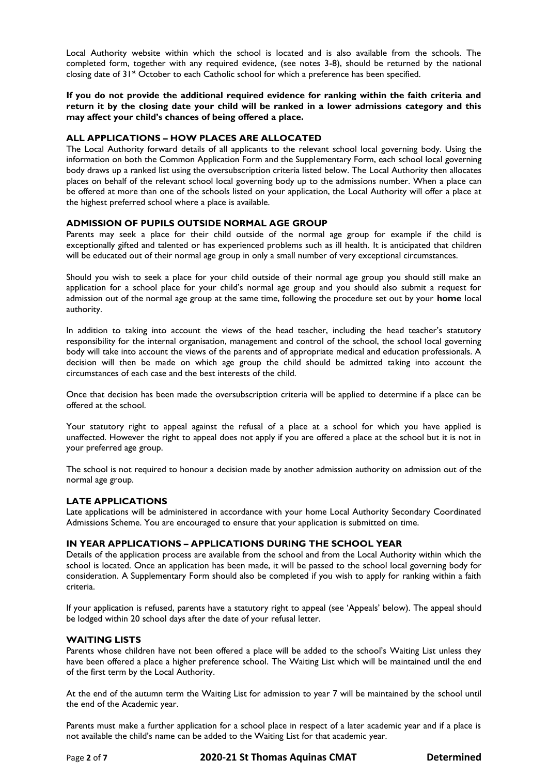Local Authority website within which the school is located and is also available from the schools. The completed form, together with any required evidence, (see notes 3-8), should be returned by the national closing date of 31<sup>st</sup> October to each Catholic school for which a preference has been specified.

**If you do not provide the additional required evidence for ranking within the faith criteria and return it by the closing date your child will be ranked in a lower admissions category and this may affect your child's chances of being offered a place.**

# **ALL APPLICATIONS – HOW PLACES ARE ALLOCATED**

The Local Authority forward details of all applicants to the relevant school local governing body. Using the information on both the Common Application Form and the Supplementary Form, each school local governing body draws up a ranked list using the oversubscription criteria listed below. The Local Authority then allocates places on behalf of the relevant school local governing body up to the admissions number. When a place can be offered at more than one of the schools listed on your application, the Local Authority will offer a place at the highest preferred school where a place is available.

# **ADMISSION OF PUPILS OUTSIDE NORMAL AGE GROUP**

Parents may seek a place for their child outside of the normal age group for example if the child is exceptionally gifted and talented or has experienced problems such as ill health. It is anticipated that children will be educated out of their normal age group in only a small number of very exceptional circumstances.

Should you wish to seek a place for your child outside of their normal age group you should still make an application for a school place for your child's normal age group and you should also submit a request for admission out of the normal age group at the same time, following the procedure set out by your **home** local authority.

In addition to taking into account the views of the head teacher, including the head teacher's statutory responsibility for the internal organisation, management and control of the school, the school local governing body will take into account the views of the parents and of appropriate medical and education professionals. A decision will then be made on which age group the child should be admitted taking into account the circumstances of each case and the best interests of the child.

Once that decision has been made the oversubscription criteria will be applied to determine if a place can be offered at the school.

Your statutory right to appeal against the refusal of a place at a school for which you have applied is unaffected. However the right to appeal does not apply if you are offered a place at the school but it is not in your preferred age group.

The school is not required to honour a decision made by another admission authority on admission out of the normal age group.

# **LATE APPLICATIONS**

Late applications will be administered in accordance with your home Local Authority Secondary Coordinated Admissions Scheme. You are encouraged to ensure that your application is submitted on time.

# **IN YEAR APPLICATIONS – APPLICATIONS DURING THE SCHOOL YEAR**

Details of the application process are available from the school and from the Local Authority within which the school is located. Once an application has been made, it will be passed to the school local governing body for consideration. A Supplementary Form should also be completed if you wish to apply for ranking within a faith criteria.

If your application is refused, parents have a statutory right to appeal (see 'Appeals' below). The appeal should be lodged within 20 school days after the date of your refusal letter.

#### **WAITING LISTS**

Parents whose children have not been offered a place will be added to the school's Waiting List unless they have been offered a place a higher preference school. The Waiting List which will be maintained until the end of the first term by the Local Authority.

At the end of the autumn term the Waiting List for admission to year 7 will be maintained by the school until the end of the Academic year.

Parents must make a further application for a school place in respect of a later academic year and if a place is not available the child's name can be added to the Waiting List for that academic year.

Page **2** of **7 2020-21 St Thomas Aquinas CMAT Determined**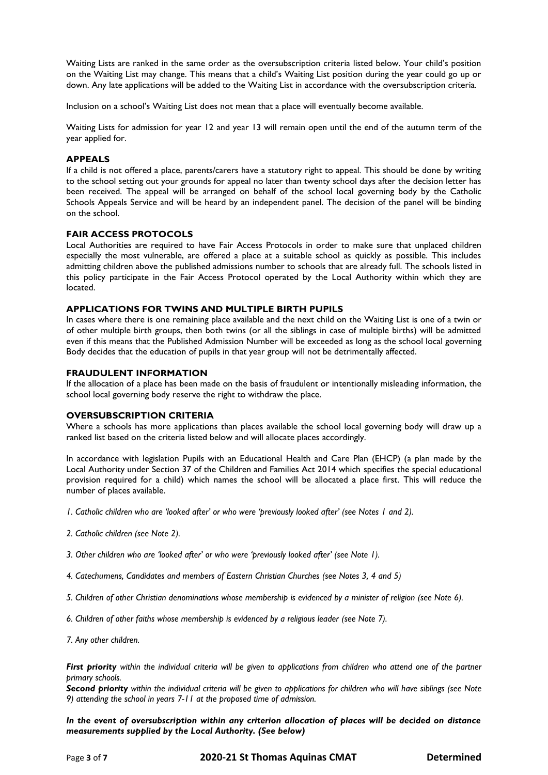Waiting Lists are ranked in the same order as the oversubscription criteria listed below. Your child's position on the Waiting List may change. This means that a child's Waiting List position during the year could go up or down. Any late applications will be added to the Waiting List in accordance with the oversubscription criteria.

Inclusion on a school's Waiting List does not mean that a place will eventually become available.

Waiting Lists for admission for year 12 and year 13 will remain open until the end of the autumn term of the year applied for.

# **APPEALS**

If a child is not offered a place, parents/carers have a statutory right to appeal. This should be done by writing to the school setting out your grounds for appeal no later than twenty school days after the decision letter has been received. The appeal will be arranged on behalf of the school local governing body by the Catholic Schools Appeals Service and will be heard by an independent panel. The decision of the panel will be binding on the school.

# **FAIR ACCESS PROTOCOLS**

Local Authorities are required to have Fair Access Protocols in order to make sure that unplaced children especially the most vulnerable, are offered a place at a suitable school as quickly as possible. This includes admitting children above the published admissions number to schools that are already full. The schools listed in this policy participate in the Fair Access Protocol operated by the Local Authority within which they are located.

#### **APPLICATIONS FOR TWINS AND MULTIPLE BIRTH PUPILS**

In cases where there is one remaining place available and the next child on the Waiting List is one of a twin or of other multiple birth groups, then both twins (or all the siblings in case of multiple births) will be admitted even if this means that the Published Admission Number will be exceeded as long as the school local governing Body decides that the education of pupils in that year group will not be detrimentally affected.

# **FRAUDULENT INFORMATION**

If the allocation of a place has been made on the basis of fraudulent or intentionally misleading information, the school local governing body reserve the right to withdraw the place.

#### **OVERSUBSCRIPTION CRITERIA**

Where a schools has more applications than places available the school local governing body will draw up a ranked list based on the criteria listed below and will allocate places accordingly.

In accordance with legislation Pupils with an Educational Health and Care Plan (EHCP) (a plan made by the Local Authority under Section 37 of the Children and Families Act 2014 which specifies the special educational provision required for a child) which names the school will be allocated a place first. This will reduce the number of places available.

- *1. Catholic children who are 'looked after' or who were 'previously looked after' (see Notes 1 and 2).*
- *2. Catholic children (see Note 2).*
- *3. Other children who are 'looked after' or who were 'previously looked after' (see Note 1).*
- *4. Catechumens, Candidates and members of Eastern Christian Churches (see Notes 3, 4 and 5)*
- *5. Children of other Christian denominations whose membership is evidenced by a minister of religion (see Note 6).*
- *6. Children of other faiths whose membership is evidenced by a religious leader (see Note 7).*
- *7. Any other children.*

*First priority within the individual criteria will be given to applications from children who attend one of the partner primary schools.*

*Second priority within the individual criteria will be given to applications for children who will have siblings (see Note 9) attending the school in years 7-11 at the proposed time of admission.*

*In the event of oversubscription within any criterion allocation of places will be decided on distance measurements supplied by the Local Authority. (See below)*

Page **3** of **7 2020-21 St Thomas Aquinas CMAT Determined**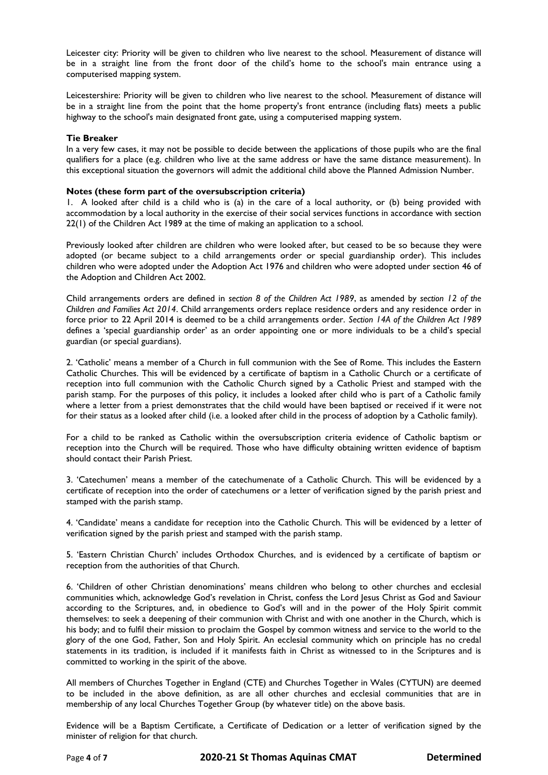Leicester city: Priority will be given to children who live nearest to the school. Measurement of distance will be in a straight line from the front door of the child's home to the school's main entrance using a computerised mapping system.

Leicestershire: Priority will be given to children who live nearest to the school. Measurement of distance will be in a straight line from the point that the home property's front entrance (including flats) meets a public highway to the school's main designated front gate, using a computerised mapping system.

### **Tie Breaker**

In a very few cases, it may not be possible to decide between the applications of those pupils who are the final qualifiers for a place (e.g. children who live at the same address or have the same distance measurement). In this exceptional situation the governors will admit the additional child above the Planned Admission Number.

### **Notes (these form part of the oversubscription criteria)**

1. A looked after child is a child who is (a) in the care of a local authority, or (b) being provided with accommodation by a local authority in the exercise of their social services functions in accordance with section 22(1) of the Children Act 1989 at the time of making an application to a school.

Previously looked after children are children who were looked after, but ceased to be so because they were adopted (or became subject to a child arrangements order or special guardianship order). This includes children who were adopted under the Adoption Act 1976 and children who were adopted under section 46 of the Adoption and Children Act 2002.

Child arrangements orders are defined in *section 8 of the Children Act 1989*, as amended by *section 12 of the Children and Families Act 2014*. Child arrangements orders replace residence orders and any residence order in force prior to 22 April 2014 is deemed to be a child arrangements order. *Section 14A of the Children Act 1989* defines a 'special guardianship order' as an order appointing one or more individuals to be a child's special guardian (or special guardians).

2. 'Catholic' means a member of a Church in full communion with the See of Rome. This includes the Eastern Catholic Churches. This will be evidenced by a certificate of baptism in a Catholic Church or a certificate of reception into full communion with the Catholic Church signed by a Catholic Priest and stamped with the parish stamp. For the purposes of this policy, it includes a looked after child who is part of a Catholic family where a letter from a priest demonstrates that the child would have been baptised or received if it were not for their status as a looked after child (i.e. a looked after child in the process of adoption by a Catholic family).

For a child to be ranked as Catholic within the oversubscription criteria evidence of Catholic baptism or reception into the Church will be required. Those who have difficulty obtaining written evidence of baptism should contact their Parish Priest.

3. 'Catechumen' means a member of the catechumenate of a Catholic Church. This will be evidenced by a certificate of reception into the order of catechumens or a letter of verification signed by the parish priest and stamped with the parish stamp.

4. 'Candidate' means a candidate for reception into the Catholic Church. This will be evidenced by a letter of verification signed by the parish priest and stamped with the parish stamp.

5. 'Eastern Christian Church' includes Orthodox Churches, and is evidenced by a certificate of baptism or reception from the authorities of that Church.

6. 'Children of other Christian denominations' means children who belong to other churches and ecclesial communities which, acknowledge God's revelation in Christ, confess the Lord Jesus Christ as God and Saviour according to the Scriptures, and, in obedience to God's will and in the power of the Holy Spirit commit themselves: to seek a deepening of their communion with Christ and with one another in the Church, which is his body; and to fulfil their mission to proclaim the Gospel by common witness and service to the world to the glory of the one God, Father, Son and Holy Spirit. An ecclesial community which on principle has no credal statements in its tradition, is included if it manifests faith in Christ as witnessed to in the Scriptures and is committed to working in the spirit of the above.

All members of Churches Together in England (CTE) and Churches Together in Wales (CYTUN) are deemed to be included in the above definition, as are all other churches and ecclesial communities that are in membership of any local Churches Together Group (by whatever title) on the above basis.

Evidence will be a Baptism Certificate, a Certificate of Dedication or a letter of verification signed by the minister of religion for that church.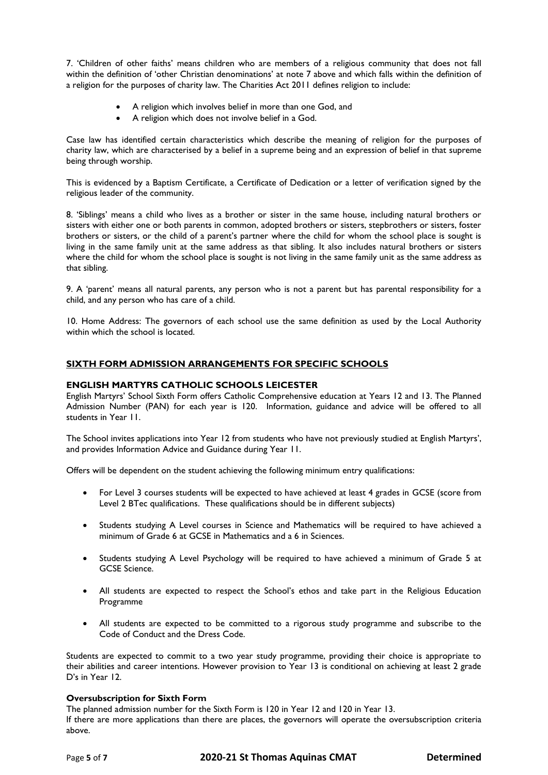7. 'Children of other faiths' means children who are members of a religious community that does not fall within the definition of 'other Christian denominations' at note 7 above and which falls within the definition of a religion for the purposes of charity law. The Charities Act 2011 defines religion to include:

- A religion which involves belief in more than one God, and
- A religion which does not involve belief in a God.

Case law has identified certain characteristics which describe the meaning of religion for the purposes of charity law, which are characterised by a belief in a supreme being and an expression of belief in that supreme being through worship.

This is evidenced by a Baptism Certificate, a Certificate of Dedication or a letter of verification signed by the religious leader of the community.

8. 'Siblings' means a child who lives as a brother or sister in the same house, including natural brothers or sisters with either one or both parents in common, adopted brothers or sisters, stepbrothers or sisters, foster brothers or sisters, or the child of a parent's partner where the child for whom the school place is sought is living in the same family unit at the same address as that sibling. It also includes natural brothers or sisters where the child for whom the school place is sought is not living in the same family unit as the same address as that sibling.

9. A 'parent' means all natural parents, any person who is not a parent but has parental responsibility for a child, and any person who has care of a child.

10. Home Address: The governors of each school use the same definition as used by the Local Authority within which the school is located.

# **SIXTH FORM ADMISSION ARRANGEMENTS FOR SPECIFIC SCHOOLS**

#### **ENGLISH MARTYRS CATHOLIC SCHOOLS LEICESTER**

English Martyrs' School Sixth Form offers Catholic Comprehensive education at Years 12 and 13. The Planned Admission Number (PAN) for each year is 120. Information, guidance and advice will be offered to all students in Year 11.

The School invites applications into Year 12 from students who have not previously studied at English Martyrs', and provides Information Advice and Guidance during Year 11.

Offers will be dependent on the student achieving the following minimum entry qualifications:

- For Level 3 courses students will be expected to have achieved at least 4 grades in GCSE (score from Level 2 BTec qualifications. These qualifications should be in different subjects)
- Students studying A Level courses in Science and Mathematics will be required to have achieved a minimum of Grade 6 at GCSE in Mathematics and a 6 in Sciences.
- Students studying A Level Psychology will be required to have achieved a minimum of Grade 5 at GCSE Science.
- All students are expected to respect the School's ethos and take part in the Religious Education Programme
- All students are expected to be committed to a rigorous study programme and subscribe to the Code of Conduct and the Dress Code.

Students are expected to commit to a two year study programme, providing their choice is appropriate to their abilities and career intentions. However provision to Year 13 is conditional on achieving at least 2 grade D's in Year 12.

# **Oversubscription for Sixth Form**

The planned admission number for the Sixth Form is 120 in Year 12 and 120 in Year 13.

If there are more applications than there are places, the governors will operate the oversubscription criteria above.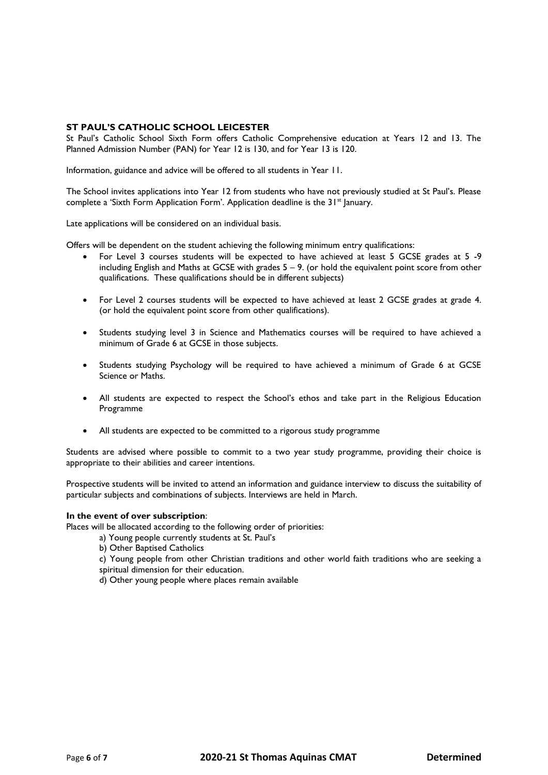# **ST PAUL'S CATHOLIC SCHOOL LEICESTER**

St Paul's Catholic School Sixth Form offers Catholic Comprehensive education at Years 12 and 13. The Planned Admission Number (PAN) for Year 12 is 130, and for Year 13 is 120.

Information, guidance and advice will be offered to all students in Year 11.

The School invites applications into Year 12 from students who have not previously studied at St Paul's. Please complete a 'Sixth Form Application Form'. Application deadline is the 31<sup>st</sup> January.

Late applications will be considered on an individual basis.

Offers will be dependent on the student achieving the following minimum entry qualifications:

- For Level 3 courses students will be expected to have achieved at least 5 GCSE grades at 5 -9 including English and Maths at GCSE with grades  $5 - 9$ . (or hold the equivalent point score from other qualifications. These qualifications should be in different subjects)
- For Level 2 courses students will be expected to have achieved at least 2 GCSE grades at grade 4. (or hold the equivalent point score from other qualifications).
- Students studying level 3 in Science and Mathematics courses will be required to have achieved a minimum of Grade 6 at GCSE in those subjects.
- Students studying Psychology will be required to have achieved a minimum of Grade 6 at GCSE Science or Maths.
- All students are expected to respect the School's ethos and take part in the Religious Education Programme
- All students are expected to be committed to a rigorous study programme

Students are advised where possible to commit to a two year study programme, providing their choice is appropriate to their abilities and career intentions.

Prospective students will be invited to attend an information and guidance interview to discuss the suitability of particular subjects and combinations of subjects. Interviews are held in March.

#### **In the event of over subscription**:

Places will be allocated according to the following order of priorities:

- a) Young people currently students at St. Paul's
- b) Other Baptised Catholics
- c) Young people from other Christian traditions and other world faith traditions who are seeking a spiritual dimension for their education.
- d) Other young people where places remain available